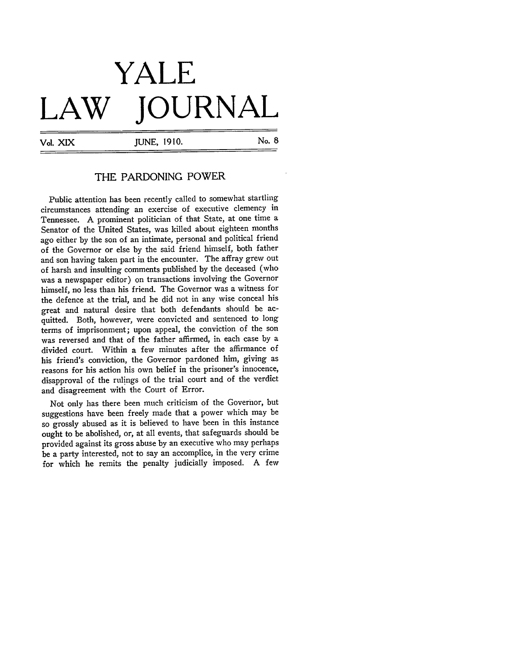## **YALE LAW JOURNAL**

Vol. XIX JUNE, 1910. No. 8

## THE PARDONING POWER

Public attention has been recently called to somewhat startling circumstances attending an exercise of executive clemency in Tennessee. A prominent politician of that State, at one time a Senator of the United States, was killed about eighteen months ago either by the son of an intimate, personal and political friend of the Governor or else by the said friend himself, both father and son having taken part in the encounter. The affray grew out of harsh and insulting comments published by the deceased (who was a newspaper editor) on transactions involving the Governor himself, no less than his friend. The Governor was a witness for the defence at the trial, and he did not in any wise conceal his great and natural desire that both defendants should be acquitted. Both, however, were convicted and sentenced to long terms of imprisonment; upon appeal, the conviction of the son was reversed and that of the father affirmed, in each case by a divided court. Within a few minutes after the affirmance of his friend's conviction, the Governor pardoned him, giving as reasons for his action his own belief in the prisoner's innocence, disapproval of the rulings of the trial court and of the verdict and disagreement with the Court of Error.

Not only has there been much criticism of the Governor, but suggestions have been freely made that a power which may be so grossly abused as it is believed to have been in this instance ought to be abolished, or, at all events, that safeguards should be provided against its gross abuse by an executive who may perhaps be a party interested, not to say an accomplice, in the very crime for which he remits the penalty judicially imposed. A few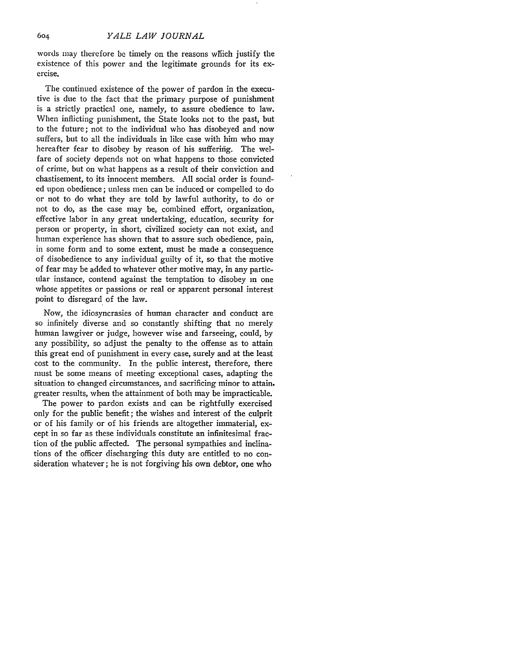words may therefore **be** timely on the reasons wtfich justify the existence of this power and the legitimate grounds for its exercise.

The continued existence of the power of pardon in the executive is due to the fact that the primary purpose of punishment is a strictly practical one, namely, to assure obedience to law. When inflicting punishment, the State looks not to the past, but to the future; not to the individual who has disobeyed and now suffers, but to all the individuals in like case with him who may hereafter fear to disobey by reason of his suffering. The welfare of society depends not on what happens to those convicted of crime, but on what happens as a result of their conviction and chastisement, to its innocent members. All social order is founded upon obedience; unless men can be induced or compelled to do or not to do what they are told by lawful authority, to do or not to do, as the case may be, combined effort, organization, effective labor in any great undertaking, education, security for person or property, in short, civilized society can not exist, and human experience has shown that to assure such obedience, pain, in some form and to some extent, must be made a consequence of disobedience to any individual guilty of it, so that the motive of fear may be added to whatever other motive may, in any particular instance, contend against the temptation to disobey in one whose appetites or passions or real or apparent personal interest point to disregard of the law.

Now, the idiosyncrasies of human character and conduct are so infinitely diverse and so constantly shifting that no merely human lawgiver or judge, however wise and farseeing, could, by any possibility, so adjust the penalty to the offense as to attain this great end of punishment in every case, surely and at the least cost to the community. In the public interest, therefore, there must be some means of meeting exceptional cases, adapting the situation to changed circumstances, and sacrificing minor to attain. greater results, when the attainment of both may be impracticable.

The power to pardon exists and can be rightfully exercised only for the public benefit; the wishes and interest of the culprit or of his family or of his friends are altogether immaterial, except in so far as these individuals constitute an infinitesimal fraction of the public affected. The personal sympathies and inclinations of the officer discharging this duty are entitled to no consideration whatever; he is not forgiving his own debtor, one who

604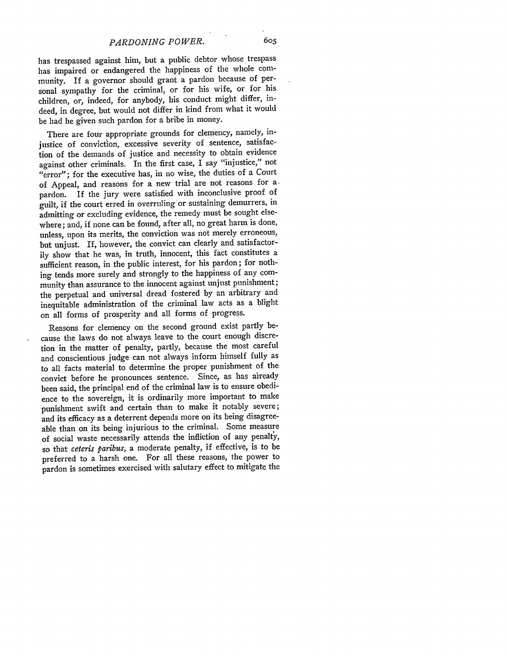has trespassed against him, but a public debtor whose trespass has impaired or endangered the happiness of the whole community. If a governor should grant a pardon because of personal sympathy for the criminal, or for his wife, or for his children, or, indeed, for anybody, his conduct might differ, indeed, in degree, but would not differ in kind from what it would be had he given such pardon for a bribe in money.

There are four appropriate grounds for clemency, namely, injustice of conviction, excessive severity of sentence, satisfaction of the demands of justice and necessity to obtain evidence against other criminals. In the first case, I say "injustice," not "error"; for the executive has, in no wise, the duties of a Court of Appeal, and reasons for a new trial are not reasons for a. pardon. If the jury were satisfied with inconclusive proof of guilt, if the court erred in overruling or sustaining demurrers, in admitting or excluding evidence, the remedy must be sought elsewhere; and, if none can be found, after all, no great harm is done, unless, upon its merits, the conviction was not merely erroneous, but unjust. If, however, the convict can clearly and satisfactorily show that he was, in truth, innocent, this fact constitutes a sufficient reason, in the public interest, for his pardon; for nothing tends more surely and strongly to the happiness of any community than assurance to the innocent against unjust punishment; the perpetual and universal dread fostered by an arbitrary and inequitable administration of the criminal law acts as a blight on all forms of prosperity and all forms of progress.

Reasons for clemency on the second ground exist partly because the laws do not always leave to the court enough discretion in the matter of penalty, partly, because the most careful and conscientious judge can not always inform himself fully as to all facts material to determine the proper punishment of the convict before he pronounces sentence. Since, as has already been said, the principal end of the criminal law is to ensure obedience to the sovereign, it is ordinarily more important to make punishment swift and certain than to make it notably severe; and its efficacy as a deterrent depends more on its being disagreeable than on its being injurious to the criminal. Some measure of social waste necessarily attends the infliction of any penalty, so that *ceteris paribus,* a moderate penalty, if effective, is to be preferred to a harsh one. For all these reasons, the power to pardon is sometimes exercised with salutary effect to mitigate the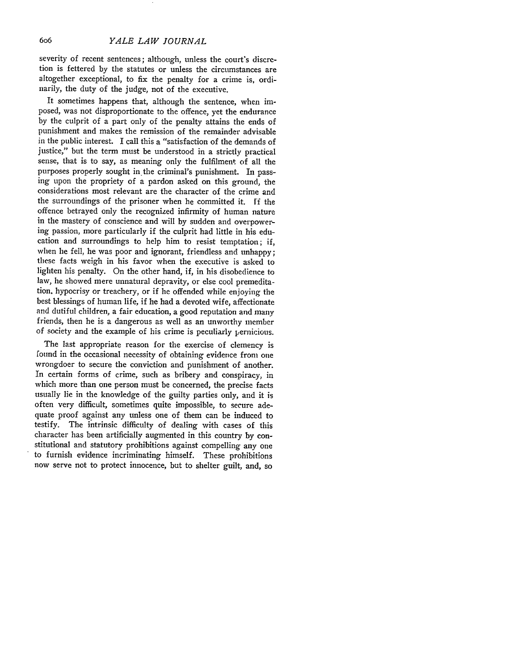severity of recent sentences; although, unless the court's discretion is fettered by the statutes or unless the circumstances are altogether exceptional, to fix the penalty for a crime is, ordinarily, the duty of the judge, not of the executive.

It sometimes happens that, although the sentence, when imposed, was not disproportionate to the offence, yet the endurance by the culprit of a part only of the penalty attains the ends of punishment and makes the remission of the remainder advisable in the public interest. I call this a "satisfaction of the demands of justice," but the term must be understood in a strictly practical sense, that is to say, as meaning only the fulfilment of all the purposes properly sought in the criminal's punishment. In passing upon the propriety of a pardon asked on this ground, the considerations most relevant are the character of the crime and the surroundings of the prisoner when he committed it. If the offence betrayed only the recognized infirmity of human nature in the mastery of conscience and will by sudden and overpowering passion, more particularly if the culprit had little in his education and surroundings to help him to resist temptation; if, when he fell, he was poor and ignorant, friendless and unhappy; these facts weigh in his favor when the executive is asked to lighten his penalty. On the other hand, if, in his disobedience to law, he showed mere unnatural depravity, or else cool premeditation, hypocrisy or treachery, or if he offended while enjoying the best blessings of human life, if he had a devoted wife, affectionate and dutiful children, a fair education, a good reputation and many friends, then he is a dangerous as well as an unworthy member of society and the example of his crime is peculiarly pernicious.

The last appropriate reason for the exercise of clemency is found in the occasional necessity of obtaining evidence from one wrongdoer to secure the conviction and punishment of another. In certain forms of crime, such as bribery and conspiracy, in which more than one person must be concerned, the precise facts usually lie in the knowledge of the guilty parties only, and it is often very difficult, sometimes quite impossible, to secure adequate proof against any unless one of them can be induced to testify. The intrinsic difficulty of dealing with cases of this character has been artificially augmented in this country by constitutional and statutory prohibitions against compelling any one to furnish evidence incriminating himself. These prohibitions now serve not to protect innocence, but to shelter guilt, and, so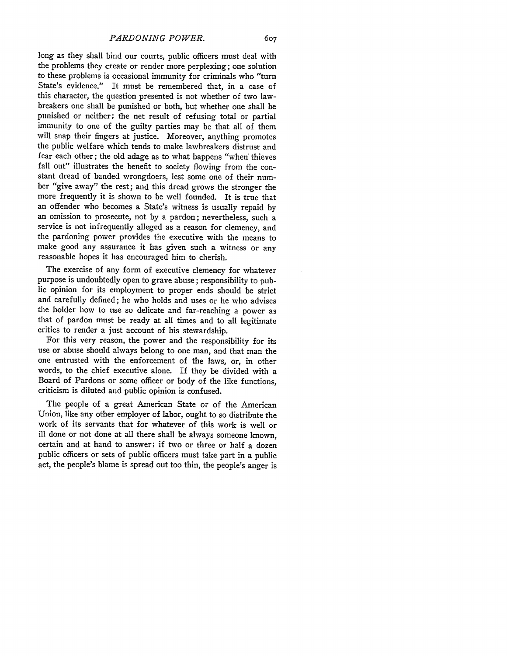long as they shall bind our courts, public officers must deal with the problems they create or render more perplexing; one solution to these problems is occasional immunity for criminals who "turn State's evidence." It must be remembered that, in a case of this character, the question presented is not whether of two lawbreakers one shall be punished or both, but whether one shall be punished or neither; the net result of refusing total or partial immunity to one of the guilty parties may be that all of them will snap their fingers at justice. Moreover, anything promotes the public welfare which tends to make lawbreakers distrust and fear each other; the old adage as to what happens "when' thieves fall out" illustrates the benefit to society flowing from the constant dread of banded wrongdoers, lest some one of their number "give away" the rest; and this dread grows the stronger the more frequently it is shown to be well founded. It is true that an offender who becomes a State's witness is usually repaid by an omission to prosecute, not by a pardon; nevertheless, such a service is not infrequently alleged as a reason for clemency, and the pardoning power provides the executive with the means to make good any assurance it has given such a witness or any reasonable hopes it has encouraged him to cherish.

The exercise of any form of executive clemency for whatever purpose is undoubtedly open to grave abuse; responsibility to public opinion for its employment to proper ends should be strict and carefully defined; he who holds and uses or he who advises the holder how to use so delicate and far-reaching a power as that of pardon must be ready at all times and to all legitimate critics to render a just account of his stewardship.

For this very reason, the power and the responsibility for its use or abuse should always belong to one man, and that man the one entrusted with the enforcement of the laws, or, in other words, to the chief executive alone. If they be divided with a Board of Pardons or some officer or body of the like functions, criticism is diluted and public opinion is confused.

The people of a great American State or of the American Union, like any other employer of labor, ought to so distribute the work of its servants that for whatever of this work is well or ill done or not done at all there shall be always someone known, certain and at hand to answer; if two or three or half a dozen public officers or sets of public officers must take part in a public act, the people's blame is spread out too thin, the people's anger is